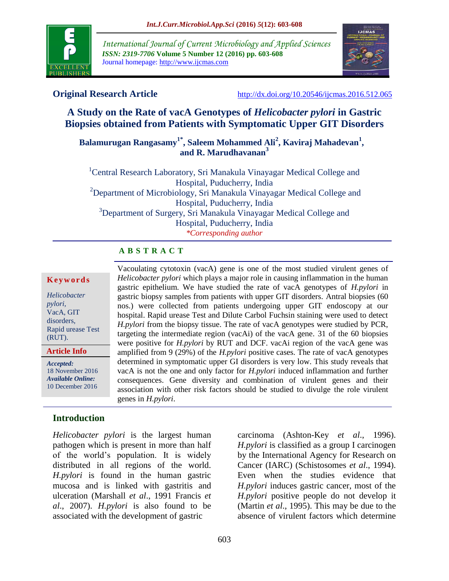

*International Journal of Current Microbiology and Applied Sciences ISSN: 2319-7706* **Volume 5 Number 12 (2016) pp. 603-608** Journal homepage: http://www.ijcmas.com



**Original Research Article** <http://dx.doi.org/10.20546/ijcmas.2016.512.065>

# **A Study on the Rate of vacA Genotypes of** *Helicobacter pylori* **in Gastric Biopsies obtained from Patients with Symptomatic Upper GIT Disorders**

**Balamurugan Rangasamy1\* , Saleem Mohammed Ali<sup>2</sup> , Kaviraj Mahadevan<sup>1</sup> , and R. Marudhavanan<sup>3</sup>**

<sup>1</sup>Central Research Laboratory, Sri Manakula Vinayagar Medical College and Hospital, Puducherry, India <sup>2</sup>Department of Microbiology, Sri Manakula Vinayagar Medical College and Hospital, Puducherry, India <sup>3</sup>Department of Surgery, Sri Manakula Vinayagar Medical College and Hospital, Puducherry, India *\*Corresponding author*

## **A B S T R A C T**

#### **K e y w o r d s**

*Helicobacter pylori,* VacA, GIT disorders, Rapid urease Test (RUT).

**Article Info**

*Accepted:*  18 November 2016 *Available Online:* 10 December 2016

## **Introduction**

*Helicobacter pylori* is the largest human pathogen which is present in more than half of the world's population. It is widely distributed in all regions of the world. *H.pylori* is found in the human gastric mucosa and is linked with gastritis and ulceration (Marshall *et al*., 1991 Francis *et al*., 2007). *H.pylori* is also found to be associated with the development of gastric

*Helicobacter pylori* which plays a major role in causing inflammation in the human gastric epithelium. We have studied the rate of vacA genotypes of *H.pylori* in gastric biopsy samples from patients with upper GIT disorders. Antral biopsies (60 nos.) were collected from patients undergoing upper GIT endoscopy at our hospital. Rapid urease Test and Dilute Carbol Fuchsin staining were used to detect *H.pylori* from the biopsy tissue. The rate of vacA genotypes were studied by PCR, targeting the intermediate region (vacAi) of the vacA gene. 31 of the 60 biopsies were positive for *H.pylori* by RUT and DCF. vacAi region of the vacA gene was amplified from 9 (29%) of the *H.pylori* positive cases. The rate of vacA genotypes determined in symptomatic upper GI disorders is very low. This study reveals that vacA is not the one and only factor for *H.pylori* induced inflammation and further consequences. Gene diversity and combination of virulent genes and their association with other risk factors should be studied to divulge the role virulent genes in *H.pylori*.

Vacoulating cytotoxin (vacA) gene is one of the most studied virulent genes of

carcinoma (Ashton-Key *et al*., 1996). *H.pylori* is classified as a group I carcinogen by the International Agency for Research on Cancer (IARC) (Schistosomes *et al*., 1994). Even when the studies evidence that *H.pylori* induces gastric cancer, most of the *H.pylori* positive people do not develop it (Martin *et al*., 1995). This may be due to the absence of virulent factors which determine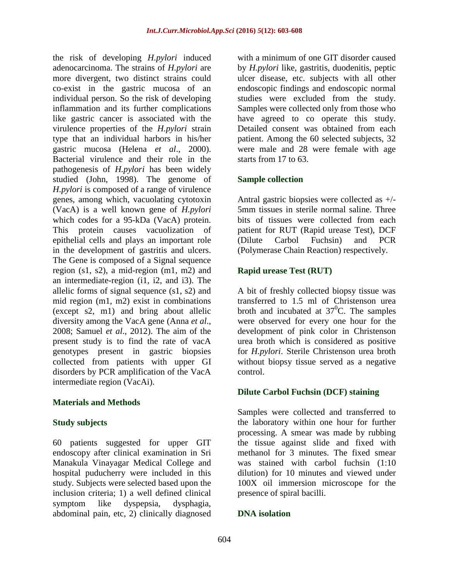the risk of developing *H.pylori* induced adenocarcinoma. The strains of *H.pylori* are more divergent, two distinct strains could co-exist in the gastric mucosa of an individual person. So the risk of developing inflammation and its further complications like gastric cancer is associated with the virulence properties of the *H.pylori* strain type that an individual harbors in his/her gastric mucosa (Helena *et al*., 2000). Bacterial virulence and their role in the pathogenesis of *H.pylori* has been widely studied (John, 1998). The genome of *H.pylori* is composed of a range of virulence genes, among which, vacuolating cytotoxin (VacA) is a well known gene of *H.pylori*  which codes for a 95-kDa (VacA) protein. This protein causes vacuolization of epithelial cells and plays an important role in the development of gastritis and ulcers. The Gene is composed of a Signal sequence region (s1, s2), a mid-region (m1, m2) and an intermediate-region (i1, i2, and i3). The allelic forms of signal sequence (s1, s2) and mid region (m1, m2) exist in combinations (except s2, m1) and bring about allelic diversity among the VacA gene (Anna *et al*., 2008; Samuel *et al*., 2012). The aim of the present study is to find the rate of vacA genotypes present in gastric biopsies collected from patients with upper GI disorders by PCR amplification of the VacA intermediate region (VacAi).

#### **Materials and Methods**

#### **Study subjects**

60 patients suggested for upper GIT endoscopy after clinical examination in Sri Manakula Vinayagar Medical College and hospital puducherry were included in this study. Subjects were selected based upon the inclusion criteria; 1) a well defined clinical symptom like dyspepsia, dysphagia, abdominal pain, etc, 2) clinically diagnosed

with a minimum of one GIT disorder caused by *H.pylori* like, gastritis, duodenitis, peptic ulcer disease, etc. subjects with all other endoscopic findings and endoscopic normal studies were excluded from the study. Samples were collected only from those who have agreed to co operate this study. Detailed consent was obtained from each patient. Among the 60 selected subjects, 32 were male and 28 were female with age starts from 17 to 63.

#### **Sample collection**

Antral gastric biopsies were collected as +/- 5mm tissues in sterile normal saline. Three bits of tissues were collected from each patient for RUT (Rapid urease Test), DCF (Dilute Carbol Fuchsin) and PCR (Polymerase Chain Reaction) respectively.

## **Rapid urease Test (RUT)**

A bit of freshly collected biopsy tissue was transferred to 1.5 ml of Christenson urea broth and incubated at  $37^{\circ}$ C. The samples were observed for every one hour for the development of pink color in Christenson urea broth which is considered as positive for *H.pylori*. Sterile Christenson urea broth without biopsy tissue served as a negative control.

#### **Dilute Carbol Fuchsin (DCF) staining**

Samples were collected and transferred to the laboratory within one hour for further processing. A smear was made by rubbing the tissue against slide and fixed with methanol for 3 minutes. The fixed smear was stained with carbol fuchsin (1:10 dilution) for 10 minutes and viewed under 100X oil immersion microscope for the presence of spiral bacilli.

#### **DNA isolation**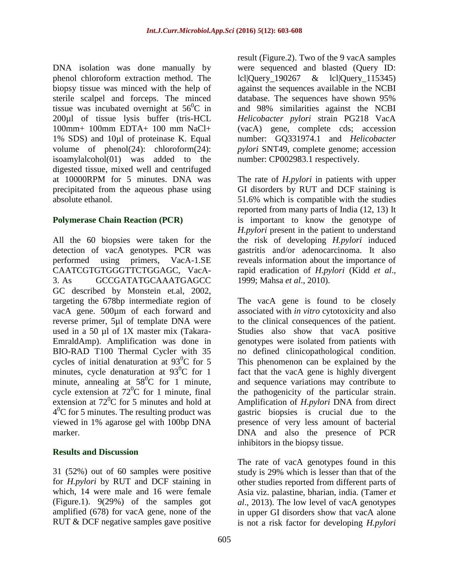DNA isolation was done manually by phenol chloroform extraction method. The biopsy tissue was minced with the help of sterile scalpel and forceps. The minced tissue was incubated overnight at  $56^{\circ}$ C in 200µl of tissue lysis buffer (tris-HCL 100mm+ 100mm EDTA+ 100 mm NaCl+ 1% SDS) and 10µl of proteinase K. Equal volume of phenol(24): chloroform(24): isoamylalcohol(01) was added to the digested tissue, mixed well and centrifuged at 10000RPM for 5 minutes. DNA was precipitated from the aqueous phase using absolute ethanol.

## **Polymerase Chain Reaction (PCR)**

All the 60 biopsies were taken for the detection of vacA genotypes. PCR was performed using primers, VacA-1.SE CAATCGTGTGGGTTCTGGAGC, VacA-3. As GCCGATATGCAAATGAGCC GC described by Monstein et.al, 2002, targeting the 678bp intermediate region of vacA gene. 500µm of each forward and reverse primer, 5µl of template DNA were used in a 50 µl of 1X master mix (Takara-EmraldAmp). Amplification was done in BIO-RAD T100 Thermal Cycler with 35 cycles of initial denaturation at  $93^{\circ}$ C for 5 minutes, cycle denaturation at  $93^{\circ}$ C for 1 minute, annealing at  $58^{\circ}$ C for 1 minute, cycle extension at  $72^{\circ}$ C for 1 minute, final extension at  $72^{\circ}$ C for 5 minutes and hold at  $4^{0}$ C for 5 minutes. The resulting product was viewed in 1% agarose gel with 100bp DNA marker.

#### **Results and Discussion**

31 (52%) out of 60 samples were positive for *H.pylori* by RUT and DCF staining in which, 14 were male and 16 were female (Figure.1). 9(29%) of the samples got amplified (678) for vacA gene, none of the RUT & DCF negative samples gave positive

result (Figure.2). Two of the 9 vacA samples were sequenced and blasted (Query ID: lcl|Query\_190267 & lcl|Query\_115345) against the sequences available in the NCBI database. The sequences have shown 95% and 98% similarities against the NCBI *Helicobacter pylori* strain PG218 VacA (vacA) gene, complete cds; accession number: GQ331974.1 and *Helicobacter pylori* SNT49, complete genome; accession number: CP002983.1 respectively.

The rate of *H.pylori* in patients with upper GI disorders by RUT and DCF staining is 51.6% which is compatible with the studies reported from many parts of India (12, 13) It is important to know the genotype of *H.pylori* present in the patient to understand the risk of developing *H.pylori* induced gastritis and/or adenocarcinoma. It also reveals information about the importance of rapid eradication of *H.pylori* (Kidd *et al*., 1999; Mahsa *et al*., 2010).

The vacA gene is found to be closely associated with *in vitro* cytotoxicity and also to the clinical consequences of the patient. Studies also show that vacA positive genotypes were isolated from patients with no defined clinicopathological condition. This phenomenon can be explained by the fact that the vacA gene is highly divergent and sequence variations may contribute to the pathogenicity of the particular strain. Amplification of *H.pylori* DNA from direct gastric biopsies is crucial due to the presence of very less amount of bacterial DNA and also the presence of PCR inhibitors in the biopsy tissue.

The rate of vacA genotypes found in this study is 29% which is lesser than that of the other studies reported from different parts of Asia viz. palastine, bharian, india. (Tamer *et al*., 2013). The low level of vacA genotypes in upper GI disorders show that vacA alone is not a risk factor for developing *H.pylori*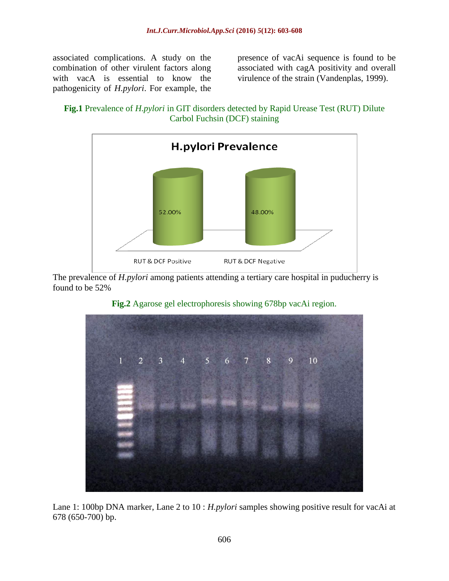associated complications. A study on the combination of other virulent factors along with vacA is essential to know the pathogenicity of *H.pylori*. For example, the

presence of vacAi sequence is found to be associated with cagA positivity and overall virulence of the strain (Vandenplas, 1999).

**Fig.1** Prevalence of *H.pylori* in GIT disorders detected by Rapid Urease Test (RUT) Dilute Carbol Fuchsin (DCF) staining



The prevalence of *H.pylori* among patients attending a tertiary care hospital in puducherry is found to be 52%





Lane 1: 100bp DNA marker, Lane 2 to 10 : *H.pylori* samples showing positive result for vacAi at 678 (650-700) bp.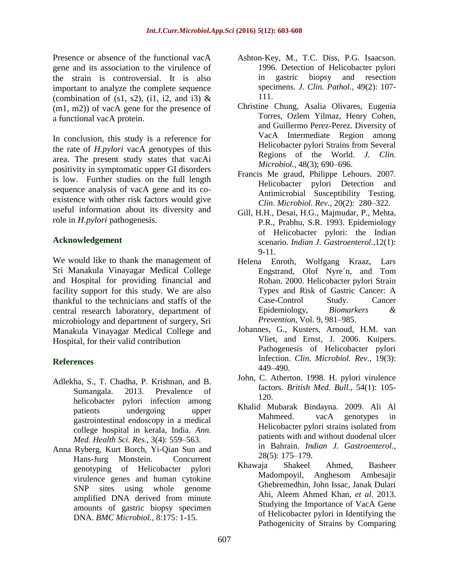Presence or absence of the functional vacA gene and its association to the virulence of the strain is controversial. It is also important to analyze the complete sequence (combination of (s1, s2), (i1, i2, and i3)  $\&$ (m1, m2)) of vacA gene for the presence of a functional vacA protein.

In conclusion, this study is a reference for the rate of *H.pylori* vacA genotypes of this area. The present study states that vacAi positivity in symptomatic upper GI disorders is low. Further studies on the full length sequence analysis of vacA gene and its coexistence with other risk factors would give useful information about its diversity and role in *H.pylori* pathogenesis.

#### **Acknowledgement**

We would like to thank the management of Sri Manakula Vinayagar Medical College and Hospital for providing financial and facility support for this study. We are also thankful to the technicians and staffs of the central research laboratory, department of microbiology and department of surgery, Sri Manakula Vinayagar Medical College and Hospital, for their valid contribution

#### **References**

- Adlekha, S., T. Chadha, P. Krishnan, and B. Sumangala. 2013. Prevalence of helicobacter pylori infection among patients undergoing upper gastrointestinal endoscopy in a medical college hospital in kerala, India. *Ann. Med. Health Sci. Res.,* 3(4): 559–563.
- Anna Ryberg, Kurt Borch, Yi-Qian Sun and Hans-Jurg Monstein. Concurrent genotyping of Helicobacter pylori virulence genes and human cytokine SNP sites using whole genome amplified DNA derived from minute amounts of gastric biopsy specimen DNA. *BMC Microbiol.,* 8:175: 1-15.
- Ashton-Key, M., T.C. Diss, P.G. Isaacson. 1996. Detection of Helicobacter pylori in gastric biopsy and resection specimens. *J. Clin. Pathol.,* 49(2): 107- 111.
- Christine Chung, Asalia Olivares, Eugenia Torres, Ozlem Yilmaz, Henry Cohen, and Guillermo Perez-Perez. Diversity of VacA Intermediate Region among Helicobacter pylori Strains from Several Regions of the World. *J. Clin. Microbiol.,* 48(3); 690–696.
- Francis Me graud, Philippe Lehours. 2007. Helicobacter pylori Detection and Antimicrobial Susceptibility Testing. *Clin. Microbiol. Rev.,* 20(2): 280–322.
- Gill, H.H., Desai, H.G., Majmudar, P., Mehta, P.R., Prabhu, S.R. 1993. Epidemiology of Helicobacter pylori: the Indian scenario. *Indian J. Gastroenterol.,*12(1): 9-11.
- Helena Enroth, Wolfgang Kraaz, Lars Engstrand, Olof Nyre´n, and Tom Rohan. 2000. Helicobacter pylori Strain Types and Risk of Gastric Cancer: A Case-Control Study. Cancer Epidemiology, *Biomarkers & Prevention,* Vol. 9, 981–985.
- Johannes, G., Kusters, Arnoud, H.M. van Vliet, and Ernst, J. 2006. Kuipers. Pathogenesis of Helicobacter pylori Infection. *Clin. Microbiol. Rev.,* 19(3): 449–490.
- John, C. Atherton. 1998. H. pylori virulence factors. *British Med. Bull.,* 54(1): 105- 120.
- Khalid Mubarak Bindayna. 2009. Ali Al Mahmeed. vacA genotypes in Helicobacter pylori strains isolated from patients with and without duodenal ulcer in Bahrain. *Indian J. Gastroenterol.,*  28(5): 175–179.
- Khawaja Shakeel Ahmed, Basheer Madompoyil, Anghesom Ambesajir Ghebremedhin, John Issac, Janak Dulari Ahi, Aleem Ahmed Khan, *et al*. 2013. Studying the Importance of VacA Gene of Helicobacter pylori in Identifying the Pathogenicity of Strains by Comparing